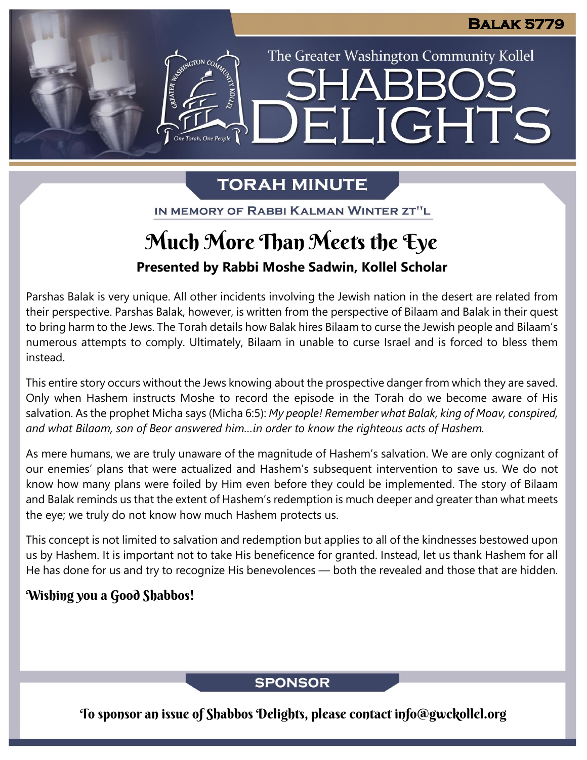The Greater Washington Community Kollel

ELIGHTS

## **TORAH MINUTE**

IN MEMORY OF RABBI KALMAN WINTER ZT"L

# Much More Than Meets the Eye

**Presented by Rabbi Moshe Sadwin, Kollel Scholar**

Parshas Balak is very unique. All other incidents involving the Jewish nation in the desert are related from their perspective. Parshas Balak, however, is written from the perspective of Bilaam and Balak in their quest to bring harm to the Jews. The Torah details how Balak hires Bilaam to curse the Jewish people and Bilaam's numerous attempts to comply. Ultimately, Bilaam in unable to curse Israel and is forced to bless them instead.

This entire story occurs without the Jews knowing about the prospective danger from which they are saved. Only when Hashem instructs Moshe to record the episode in the Torah do we become aware of His salvation. As the prophet Micha says (Micha 6:5): *My people! Remember what Balak, king of Moav, conspired, and what Bilaam, son of Beor answered him…in order to know the righteous acts of Hashem.*

As mere humans, we are truly unaware of the magnitude of Hashem's salvation. We are only cognizant of our enemies' plans that were actualized and Hashem's subsequent intervention to save us. We do not know how many plans were foiled by Him even before they could be implemented. The story of Bilaam and Balak reminds us that the extent of Hashem's redemption is much deeper and greater than what meets the eye; we truly do not know how much Hashem protects us.

This concept is not limited to salvation and redemption but applies to all of the kindnesses bestowed upon us by Hashem. It is important not to take His beneficence for granted. Instead, let us thank Hashem for all He has done for us and try to recognize His benevolences — both the revealed and those that are hidden.

## Wishing you a Good Shabbos!

## **SPONSOR**

To sponsor an issue of Shabbos Delights, please contact info@gwckollel.org